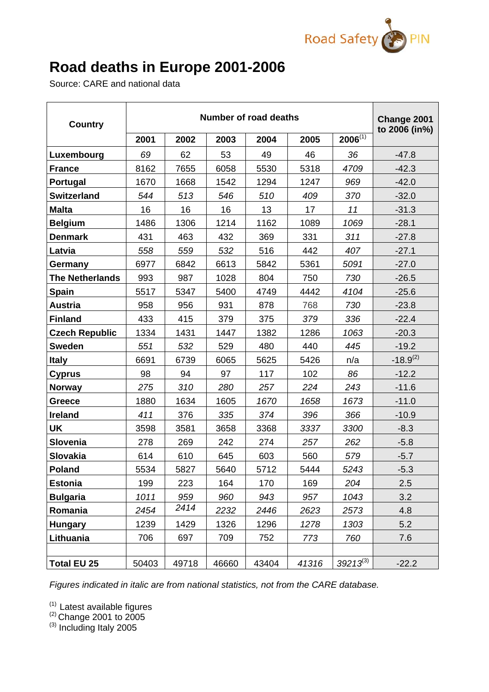

## **Road deaths in Europe 2001-2006**

Source: CARE and national data

| <b>Country</b>         |       | Change 2001<br>to 2006 (in%) |       |       |       |               |               |  |
|------------------------|-------|------------------------------|-------|-------|-------|---------------|---------------|--|
|                        | 2001  | 2002                         | 2003  | 2004  | 2005  | $2006^{(1)}$  |               |  |
| Luxembourg             | 69    | 62                           | 53    | 49    | 46    | 36            | $-47.8$       |  |
| <b>France</b>          | 8162  | 7655                         | 6058  | 5530  | 5318  | 4709          | $-42.3$       |  |
| Portugal               | 1670  | 1668                         | 1542  | 1294  | 1247  | 969           | $-42.0$       |  |
| <b>Switzerland</b>     | 544   | 513                          | 546   | 510   | 409   | 370           | $-32.0$       |  |
| <b>Malta</b>           | 16    | 16                           | 16    | 13    | 17    | 11            | $-31.3$       |  |
| <b>Belgium</b>         | 1486  | 1306                         | 1214  | 1162  | 1089  | 1069          | $-28.1$       |  |
| <b>Denmark</b>         | 431   | 463                          | 432   | 369   | 331   | 311           | $-27.8$       |  |
| Latvia                 | 558   | 559                          | 532   | 516   | 442   | 407           | $-27.1$       |  |
| Germany                | 6977  | 6842                         | 6613  | 5842  | 5361  | 5091          | $-27.0$       |  |
| <b>The Netherlands</b> | 993   | 987                          | 1028  | 804   | 750   | 730           | $-26.5$       |  |
| <b>Spain</b>           | 5517  | 5347                         | 5400  | 4749  | 4442  | 4104          | $-25.6$       |  |
| <b>Austria</b>         | 958   | 956                          | 931   | 878   | 768   | 730           | $-23.8$       |  |
| <b>Finland</b>         | 433   | 415                          | 379   | 375   | 379   | 336           | $-22.4$       |  |
| <b>Czech Republic</b>  | 1334  | 1431                         | 1447  | 1382  | 1286  | 1063          | $-20.3$       |  |
| <b>Sweden</b>          | 551   | 532                          | 529   | 480   | 440   | 445           | $-19.2$       |  |
| <b>Italy</b>           | 6691  | 6739                         | 6065  | 5625  | 5426  | n/a           | $-18.9^{(2)}$ |  |
| <b>Cyprus</b>          | 98    | 94                           | 97    | 117   | 102   | 86            | $-12.2$       |  |
| <b>Norway</b>          | 275   | 310                          | 280   | 257   | 224   | 243           | $-11.6$       |  |
| <b>Greece</b>          | 1880  | 1634                         | 1605  | 1670  | 1658  | 1673          | $-11.0$       |  |
| <b>Ireland</b>         | 411   | 376                          | 335   | 374   | 396   | 366           | $-10.9$       |  |
| <b>UK</b>              | 3598  | 3581                         | 3658  | 3368  | 3337  | 3300          | $-8.3$        |  |
| Slovenia               | 278   | 269                          | 242   | 274   | 257   | 262           | $-5.8$        |  |
| Slovakia               | 614   | 610                          | 645   | 603   | 560   | 579           | $-5.7$        |  |
| <b>Poland</b>          | 5534  | 5827                         | 5640  | 5712  | 5444  | 5243          | $-5.3$        |  |
| <b>Estonia</b>         | 199   | 223                          | 164   | 170   | 169   | 204           | 2.5           |  |
| <b>Bulgaria</b>        | 1011  | 959                          | 960   | 943   | 957   | 1043          | 3.2           |  |
| Romania                | 2454  | 2414                         | 2232  | 2446  | 2623  | 2573          | 4.8           |  |
| <b>Hungary</b>         | 1239  | 1429                         | 1326  | 1296  | 1278  | 1303          | 5.2           |  |
| Lithuania              | 706   | 697                          | 709   | 752   | 773   | 760           | 7.6           |  |
|                        |       |                              |       |       |       |               |               |  |
| <b>Total EU 25</b>     | 50403 | 49718                        | 46660 | 43404 | 41316 | $39213^{(3)}$ | $-22.2$       |  |

*Figures indicated in italic are from national statistics, not from the CARE database.* 

 $(1)$  Latest available figures

 $(2)$  Change 2001 to 2005

 $^{(3)}$  Including Italy 2005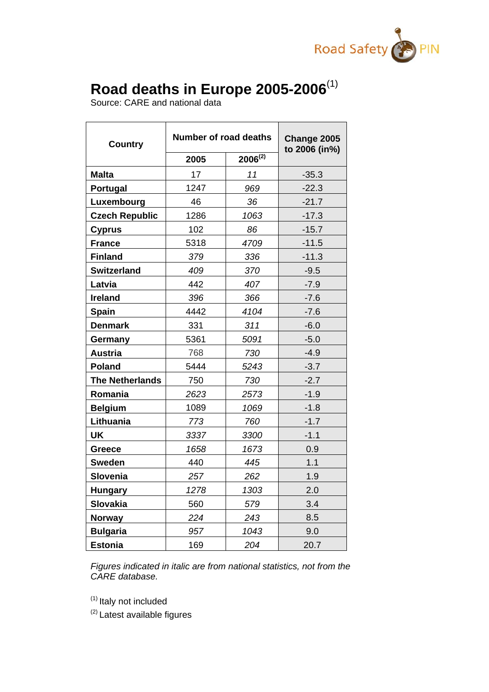

## **Road deaths in Europe 2005-2006**(1)

Source: CARE and national data

| <b>Country</b>         | <b>Number of road deaths</b> | Change 2005<br>to 2006 (in%) |         |  |
|------------------------|------------------------------|------------------------------|---------|--|
|                        | 2005                         | $2006^{(2)}$                 |         |  |
| <b>Malta</b>           | 17                           | 11                           | $-35.3$ |  |
| Portugal               | 1247                         | 969                          | $-22.3$ |  |
| Luxembourg             | 46                           | 36                           | $-21.7$ |  |
| <b>Czech Republic</b>  | 1286                         | 1063                         | $-17.3$ |  |
| <b>Cyprus</b>          | 102                          | 86                           | $-15.7$ |  |
| <b>France</b>          | 5318                         | 4709                         | $-11.5$ |  |
| <b>Finland</b>         | 379                          | 336                          | $-11.3$ |  |
| <b>Switzerland</b>     | 409                          | 370                          | $-9.5$  |  |
| Latvia                 | 442                          | 407                          | $-7.9$  |  |
| <b>Ireland</b>         | 396                          | 366                          | $-7.6$  |  |
| Spain                  | 4442                         | 4104                         | $-7.6$  |  |
| <b>Denmark</b>         | 331                          | 311                          | $-6.0$  |  |
| Germany                | 5361                         | 5091                         | $-5.0$  |  |
| <b>Austria</b>         | 768                          | 730                          | $-4.9$  |  |
| <b>Poland</b>          | 5444                         | 5243                         | $-3.7$  |  |
| <b>The Netherlands</b> | 750                          | 730                          | $-2.7$  |  |
| Romania                | 2623                         | 2573                         | $-1.9$  |  |
| <b>Belgium</b>         | 1089                         | 1069                         | $-1.8$  |  |
| Lithuania              | 773                          | 760                          | $-1.7$  |  |
| UK                     | 3337                         | 3300                         | $-1.1$  |  |
| <b>Greece</b>          | 1658                         | 1673                         | 0.9     |  |
| <b>Sweden</b>          | 440                          | 445                          | 1.1     |  |
| <b>Slovenia</b>        | 257                          | 262                          | 1.9     |  |
| <b>Hungary</b>         | 1278                         | 1303                         | 2.0     |  |
| <b>Slovakia</b>        | 560                          | 579                          | 3.4     |  |
| <b>Norway</b>          | 224                          | 243                          | 8.5     |  |
| <b>Bulgaria</b>        | 957                          | 1043                         | 9.0     |  |
| <b>Estonia</b>         | 169                          | 204                          | 20.7    |  |

*Figures indicated in italic are from national statistics, not from the CARE database.* 

(1) Italy not included

(2) Latest available figures